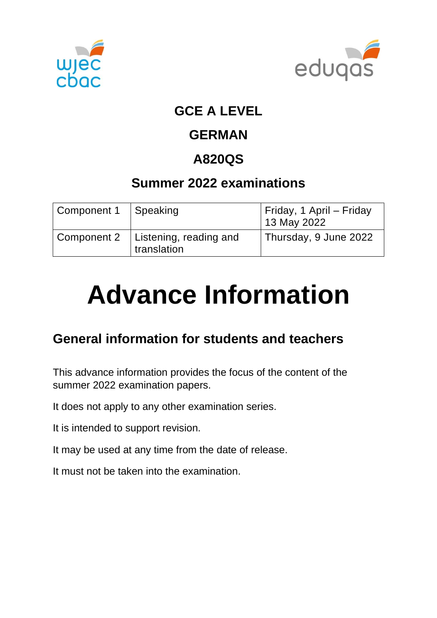



### **GCE A LEVEL**

### **GERMAN**

## **A820QS**

### **Summer 2022 examinations**

| Component 1 | Speaking                              | Friday, 1 April – Friday<br>13 May 2022 |
|-------------|---------------------------------------|-----------------------------------------|
| Component 2 | Listening, reading and<br>translation | Thursday, 9 June 2022                   |

# **Advance Information**

### **General information for students and teachers**

This advance information provides the focus of the content of the summer 2022 examination papers.

It does not apply to any other examination series.

It is intended to support revision.

It may be used at any time from the date of release.

It must not be taken into the examination.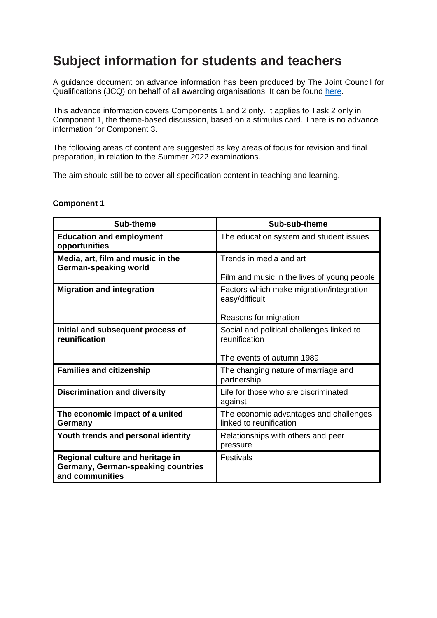### **Subject information for students and teachers**

A guidance document on advance information has been produced by The Joint Council for Qualifications (JCQ) on behalf of all awarding organisations. It can be found [here](https://www.jcq.org.uk/wp-content/uploads/2021/10/Advance-Information-for-General-Qualifications-2021-22.pdf).

This advance information covers Components 1 and 2 only. It applies to Task 2 only in Component 1, the theme-based discussion, based on a stimulus card. There is no advance information for Component 3.

The following areas of content are suggested as key areas of focus for revision and final preparation, in relation to the Summer 2022 examinations.

The aim should still be to cover all specification content in teaching and learning.

#### **Component 1**

| Sub-theme                                                                                 | Sub-sub-theme                                                     |
|-------------------------------------------------------------------------------------------|-------------------------------------------------------------------|
| <b>Education and employment</b><br>opportunities                                          | The education system and student issues                           |
| Media, art, film and music in the<br>German-speaking world                                | Trends in media and art                                           |
|                                                                                           | Film and music in the lives of young people                       |
| <b>Migration and integration</b>                                                          | Factors which make migration/integration<br>easy/difficult        |
|                                                                                           | Reasons for migration                                             |
| Initial and subsequent process of<br>reunification                                        | Social and political challenges linked to<br>reunification        |
|                                                                                           | The events of autumn 1989                                         |
| <b>Families and citizenship</b>                                                           | The changing nature of marriage and<br>partnership                |
| <b>Discrimination and diversity</b>                                                       | Life for those who are discriminated<br>against                   |
| The economic impact of a united<br>Germany                                                | The economic advantages and challenges<br>linked to reunification |
| Youth trends and personal identity                                                        | Relationships with others and peer<br>pressure                    |
| Regional culture and heritage in<br>Germany, German-speaking countries<br>and communities | Festivals                                                         |